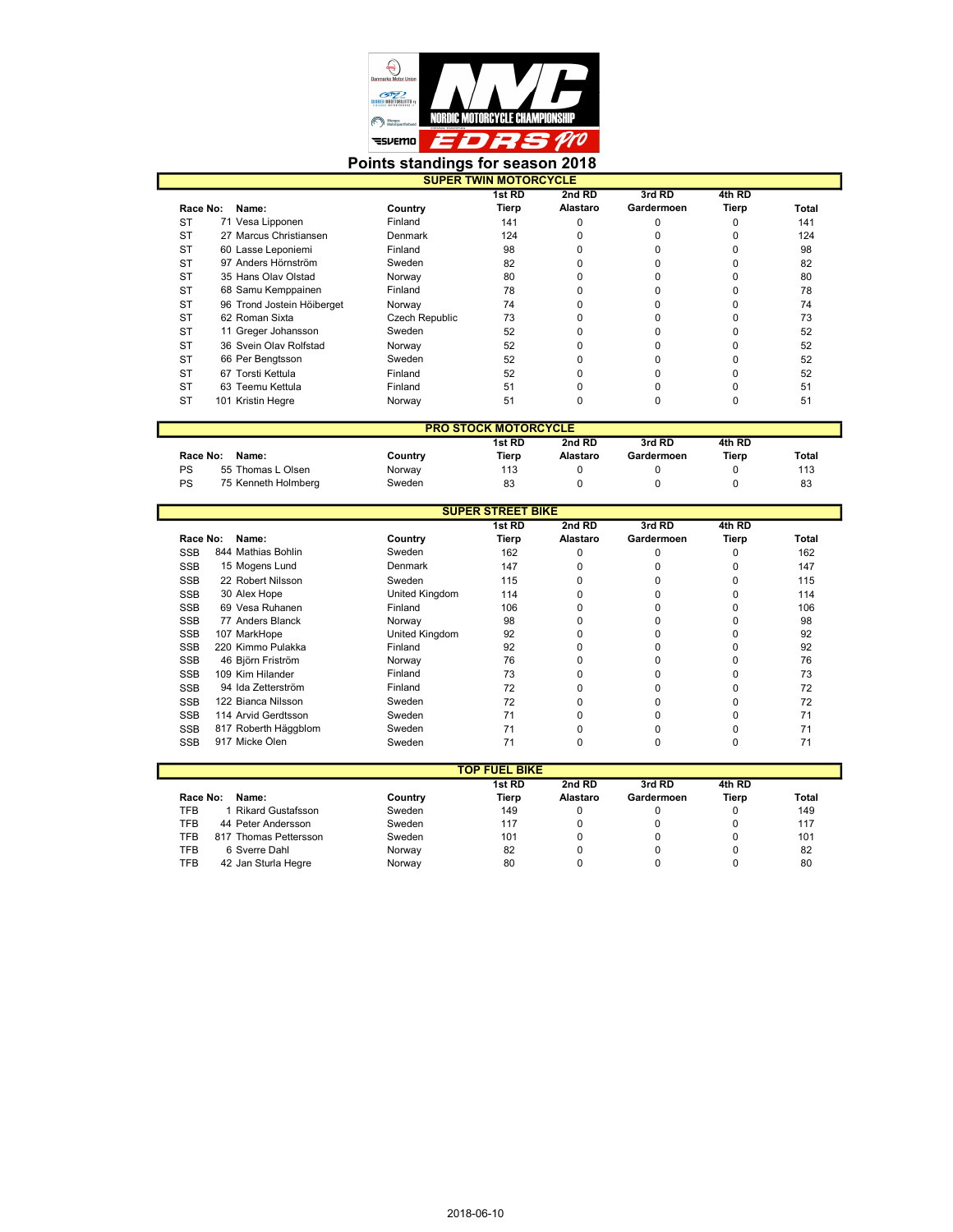

## Points standings for season 2018

| <b>SUPER TWIN MOTORCYCLE</b> |                            |                |        |          |            |        |       |
|------------------------------|----------------------------|----------------|--------|----------|------------|--------|-------|
|                              |                            |                | 1st RD | 2nd RD   | 3rd RD     | 4th RD |       |
| Race No:                     | Name:                      | Country        | Tierp  | Alastaro | Gardermoen | Tierp  | Total |
| <b>ST</b>                    | 71 Vesa Lipponen           | Finland        | 141    |          |            |        | 141   |
| <b>ST</b>                    | 27 Marcus Christiansen     | Denmark        | 124    | 0        |            |        | 124   |
| <b>ST</b>                    | 60 Lasse Leponiemi         | Finland        | 98     |          |            |        | 98    |
| <b>ST</b>                    | 97 Anders Hörnström        | Sweden         | 82     |          |            |        | 82    |
| <b>ST</b>                    | 35 Hans Olav Olstad        | Norway         | 80     |          |            |        | 80    |
| <b>ST</b>                    | 68 Samu Kemppainen         | Finland        | 78     |          |            |        | 78    |
| <b>ST</b>                    | 96 Trond Jostein Höiberget | Norway         | 74     |          |            |        | 74    |
| <b>ST</b>                    | 62 Roman Sixta             | Czech Republic | 73     |          |            |        | 73    |
| <b>ST</b>                    | 11 Greger Johansson        | Sweden         | 52     |          |            |        | 52    |
| <b>ST</b>                    | 36 Svein Olav Rolfstad     | Norway         | 52     | U        |            |        | 52    |
| <b>ST</b>                    | 66 Per Bengtsson           | Sweden         | 52     |          |            |        | 52    |
| <b>ST</b>                    | 67 Torsti Kettula          | Finland        | 52     | 0        |            | n      | 52    |
| <b>ST</b>                    | 63 Teemu Kettula           | Finland        | 51     |          |            |        | 51    |
| <b>ST</b>                    | 101 Kristin Hegre          | Norway         | 51     |          |            |        | 51    |

| <b>PRO STOCK MOTORCYCLE</b>          |                     |         |       |          |            |       |              |  |
|--------------------------------------|---------------------|---------|-------|----------|------------|-------|--------------|--|
| 2nd RD<br>3rd RD<br>1st RD<br>4th RD |                     |         |       |          |            |       |              |  |
| Race No:<br>Name:                    |                     | Country | Tierp | Alastaro | Gardermoen | Tierp | <b>Total</b> |  |
| PS                                   | 55 Thomas L Olsen   | Norway  | 113   |          |            |       | 113          |  |
| <b>PS</b>                            | 75 Kenneth Holmberg | Sweden  | 83    |          |            |       | 83           |  |

| <b>SUPER STREET BIKE</b> |  |                      |                |        |          |            |        |       |
|--------------------------|--|----------------------|----------------|--------|----------|------------|--------|-------|
|                          |  |                      |                | 1st RD | 2nd RD   | 3rd RD     | 4th RD |       |
| Race No:                 |  | Name:                | Country        | Tierp  | Alastaro | Gardermoen | Tierp  | Total |
| <b>SSB</b>               |  | 844 Mathias Bohlin   | Sweden         | 162    | 0        |            | 0      | 162   |
| <b>SSB</b>               |  | 15 Mogens Lund       | Denmark        | 147    |          |            |        | 147   |
| <b>SSB</b>               |  | 22 Robert Nilsson    | Sweden         | 115    |          |            |        | 115   |
| <b>SSB</b>               |  | 30 Alex Hope         | United Kingdom | 114    |          |            |        | 114   |
| <b>SSB</b>               |  | 69 Vesa Ruhanen      | Finland        | 106    |          |            |        | 106   |
| <b>SSB</b>               |  | 77 Anders Blanck     | Norway         | 98     | 0        |            |        | 98    |
| <b>SSB</b>               |  | 107 MarkHope         | United Kingdom | 92     |          |            |        | 92    |
| <b>SSB</b>               |  | 220 Kimmo Pulakka    | Finland        | 92     | n        |            |        | 92    |
| <b>SSB</b>               |  | 46 Björn Friström    | Norway         | 76     | n        |            |        | 76    |
| <b>SSB</b>               |  | 109 Kim Hilander     | Finland        | 73     | 0        |            |        | 73    |
| <b>SSB</b>               |  | 94 Ida Zetterström   | Finland        | 72     |          |            |        | 72    |
| <b>SSB</b>               |  | 122 Bianca Nilsson   | Sweden         | 72     |          |            |        | 72    |
| <b>SSB</b>               |  | 114 Arvid Gerdtsson  | Sweden         | 71     |          |            |        | 71    |
| <b>SSB</b>               |  | 817 Roberth Häggblom | Sweden         | 71     |          |            |        | 71    |
| <b>SSB</b>               |  | 917 Micke Ölen       | Sweden         | 71     |          | 0          |        | 71    |

| <b>TOP FUEL BIKE</b> |                       |         |        |          |            |        |              |
|----------------------|-----------------------|---------|--------|----------|------------|--------|--------------|
|                      |                       |         | 1st RD | 2nd RD   | 3rd RD     | 4th RD |              |
| Race No:             | Name:                 | Country | Tierp  | Alastaro | Gardermoen | Tierp  | <b>Total</b> |
| TFB                  | 1 Rikard Gustafsson   | Sweden  | 149    |          |            |        | 149          |
| TFB                  | 44 Peter Andersson    | Sweden  | 117    |          |            |        | 117          |
| TFB                  | 817 Thomas Pettersson | Sweden  | 101    |          |            |        | 101          |
| TFB                  | 6 Sverre Dahl         | Norway  | 82     |          |            |        | 82           |
| TFB                  | 42 Jan Sturla Hegre   | Norway  | 80     |          |            |        | 80           |